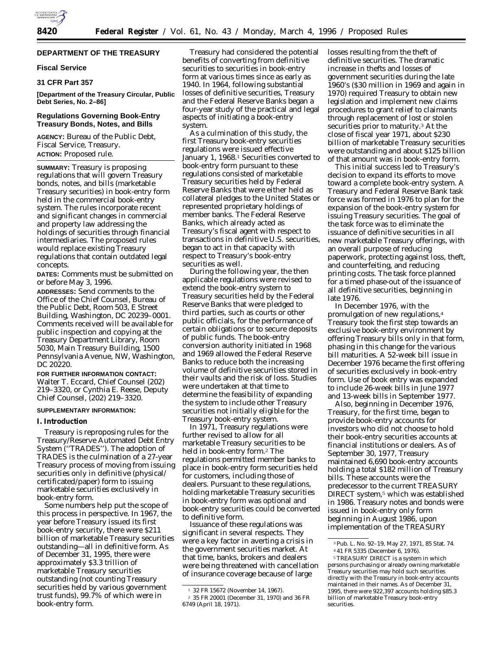## **DEPARTMENT OF THE TREASURY**

#### **Fiscal Service**

## **31 CFR Part 357**

**[Department of the Treasury Circular, Public Debt Series, No. 2–86]**

## **Regulations Governing Book-Entry Treasury Bonds, Notes, and Bills**

**AGENCY:** Bureau of the Public Debt, Fiscal Service, Treasury. **ACTION:** Proposed rule.

**SUMMARY:** Treasury is proposing regulations that will govern Treasury bonds, notes, and bills (marketable Treasury securities) in book-entry form held in the commercial book-entry system. The rules incorporate recent and significant changes in commercial and property law addressing the holdings of securities through financial intermediaries. The proposed rules would replace existing Treasury regulations that contain outdated legal concepts.

**DATES:** Comments must be submitted on or before May 3, 1996.

**ADDRESSES:** Send comments to the Office of the Chief Counsel, Bureau of the Public Debt, Room 503, E Street Building, Washington, DC 20239–0001. Comments received will be available for public inspection and copying at the Treasury Department Library, Room 5030, Main Treasury Building, 1500 Pennsylvania Avenue, NW, Washington, DC 20220.

**FOR FURTHER INFORMATION CONTACT:** Walter T. Eccard, Chief Counsel (202) 219–3320, or Cynthia E. Reese, Deputy Chief Counsel, (202) 219–3320.

#### **SUPPLEMENTARY INFORMATION:**

#### **I. Introduction**

Treasury is reproposing rules for the Treasury/Reserve Automated Debt Entry System (''TRADES''). The adoption of TRADES is the culmination of a 27-year Treasury process of moving from issuing securities only in definitive (physical/ certificated/paper) form to issuing marketable securities exclusively in book-entry form.

Some numbers help put the scope of this process in perspective. In 1967, the year before Treasury issued its first book-entry security, there were \$211 billion of marketable Treasury securities outstanding—all in definitive form. As of December 31, 1995, there were approximately \$3.3 trillion of marketable Treasury securities outstanding (not counting Treasury securities held by various government trust funds), 99.7% of which were in book-entry form.

Treasury had considered the potential benefits of converting from definitive securities to securities in book-entry form at various times since as early as 1940. In 1964, following substantial losses of definitive securities, Treasury and the Federal Reserve Banks began a four-year study of the practical and legal aspects of initiating a book-entry system.

As a culmination of this study, the first Treasury book-entry securities regulations were issued effective January 1, 1968.<sup>1</sup> Securities converted to book-entry form pursuant to these regulations consisted of marketable Treasury securities held by Federal Reserve Banks that were either held as collateral pledges to the United States or represented proprietary holdings of member banks. The Federal Reserve Banks, which already acted as Treasury's fiscal agent with respect to transactions in definitive U.S. securities, began to act in that capacity with respect to Treasury's book-entry securities as well.

During the following year, the then applicable regulations were revised to extend the book-entry system to Treasury securities held by the Federal Reserve Banks that were pledged to third parties, such as courts or other public officials, for the performance of certain obligations or to secure deposits of public funds. The book-entry conversion authority initiated in 1968 and 1969 allowed the Federal Reserve Banks to reduce both the increasing volume of definitive securities stored in their vaults and the risk of loss. Studies were undertaken at that time to determine the feasibility of expanding the system to include other Treasury securities not initially eligible for the Treasury book-entry system.

In 1971, Treasury regulations were further revised to allow for all marketable Treasury securities to be held in book-entry form.2 The regulations permitted member banks to place in book-entry form securities held for customers, including those of dealers. Pursuant to these regulations, holding marketable Treasury securities in book-entry form was optional and book-entry securities could be converted to definitive form.

Issuance of these regulations was significant in several respects. They were a key factor in averting a crisis in the government securities market. At that time, banks, brokers and dealers were being threatened with cancellation of insurance coverage because of large

losses resulting from the theft of definitive securities. The dramatic increase in thefts and losses of government securities during the late 1960's (\$30 million in 1969 and again in 1970) required Treasury to obtain new legislation and implement new claims procedures to grant relief to claimants through replacement of lost or stolen securities prior to maturity.3 At the close of fiscal year 1971, about \$230 billion of marketable Treasury securities were outstanding and about \$125 billion of that amount was in book-entry form.

This initial success led to Treasury's decision to expand its efforts to move toward a complete book-entry system. A Treasury and Federal Reserve Bank task force was formed in 1976 to plan for the expansion of the book-entry system for issuing Treasury securities. The goal of the task force was to eliminate the issuance of definitive securities in all new marketable Treasury offerings, with an overall purpose of reducing paperwork, protecting against loss, theft, and counterfeiting, and reducing printing costs. The task force planned for a timed phase-out of the issuance of all definitive securities, beginning in late 1976.

In December 1976, with the promulgation of new regulations,4 Treasury took the first step towards an exclusive book-entry environment by offering Treasury bills only in that form, phasing in this change for the various bill maturities. A 52-week bill issue in December 1976 became the first offering of securities exclusively in book-entry form. Use of book entry was expanded to include 26-week bills in June 1977 and 13-week bills in September 1977.

Also, beginning in December 1976, Treasury, for the first time, began to provide book-entry accounts for investors who did not choose to hold their book-entry securities accounts at financial institutions or dealers. As of September 30, 1977, Treasury maintained 6,690 book-entry accounts holding a total \$182 million of Treasury bills. These accounts were the predecessor to the current TREASURY DIRECT system,5 which was established in 1986. Treasury notes and bonds were issued in book-entry only form beginning in August 1986, upon implementation of the TREASURY

<sup>1</sup> 32 FR 15672 (November 14, 1967). 2 35 FR 20001 (December 31, 1970) and 36 FR 6749 (April 18, 1971).

<sup>3</sup>Pub. L. No. 92–19, May 27, 1971, 85 Stat. 74. 4 41 FR 5335 (December 6, 1976).

<sup>5</sup>TREASURY DIRECT is a system in which persons purchasing or already owning marketable Treasury securities may hold such securities directly with the Treasury in book-entry accounts maintained in their names. As of December 31, 1995, there were 922,397 accounts holding \$85.3 billion of marketable Treasury book-entry securities.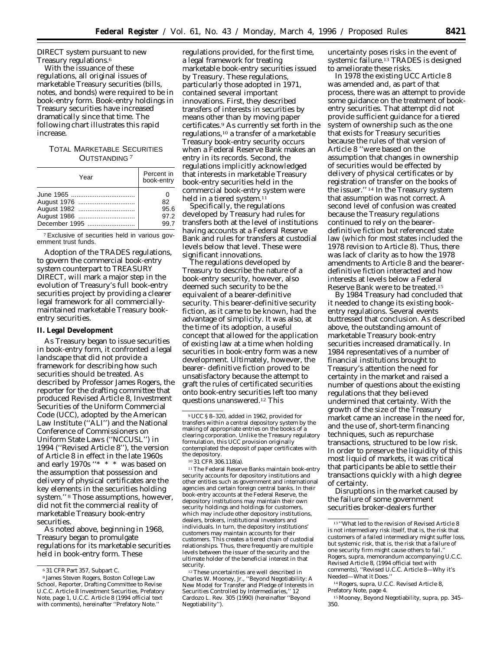DIRECT system pursuant to new Treasury regulations.6

With the issuance of these regulations, all original issues of marketable Treasury securities (bills, notes, and bonds) were required to be in book-entry form. Book-entry holdings in Treasury securities have increased dramatically since that time. The following chart illustrates this rapid increase.

# TOTAL MARKETABLE SECURITIES OUTSTANDING 7

| Year          | Percent in<br>book-entry |
|---------------|--------------------------|
|               |                          |
|               |                          |
|               | 82                       |
|               | 95.6                     |
| August 1986   | 97.2                     |
| December 1995 | 99.7                     |

7Exclusive of securities held in various government trust funds.

Adoption of the TRADES regulations, to govern the commercial book-entry system counterpart to TREASURY DIRECT, will mark a major step in the evolution of Treasury's full book-entry securities project by providing a clearer legal framework for all commerciallymaintained marketable Treasury bookentry securities.

#### **II. Legal Development**

As Treasury began to issue securities in book-entry form, it confronted a legal landscape that did not provide a framework for describing how such securities should be treated. As described by Professor James Rogers, the reporter for the drafting committee that produced Revised Article 8, Investment Securities of the Uniform Commercial Code (UCC), adopted by the American Law Institute (''ALI'') and the National Conference of Commissioners on Uniform State Laws (''NCCUSL'') in 1994 (''Revised Article 8''), the version of Article 8 in effect in the late 1960s and early 1970s ''\* \* \* was based on the assumption that possession and delivery of physical certificates are the key elements in the securities holding system.'' 8 Those assumptions, however, did not fit the commercial reality of marketable Treasury book-entry securities.

As noted above, beginning in 1968, Treasury began to promulgate regulations for its marketable securities held in book-entry form. These

regulations provided, for the first time, a legal framework for treating marketable book-entry securities issued by Treasury. These regulations, particularly those adopted in 1971, contained several important innovations. First, they described transfers of interests in securities by means other than by moving paper certificates.9 As currently set forth in the regulations,10 a transfer of a marketable Treasury book-entry security occurs when a Federal Reserve Bank makes an entry in its records. Second, the regulations implicitly acknowledged that interests in marketable Treasury book-entry securities held in the commercial book-entry system were held in a tiered system.<sup>11</sup>

Specifically, the regulations developed by Treasury had rules for transfers both at the level of institutions having accounts at a Federal Reserve Bank and rules for transfers at custodial levels below that level. These were significant innovations.

The regulations developed by Treasury to describe the nature of a book-entry security, however, also deemed such security to be the equivalent of a bearer-definitive security. This bearer-definitive security fiction, as it came to be known, had the advantage of simplicity. It was also, at the time of its adoption, a useful concept that allowed for the application of existing law at a time when holding securities in book-entry form was a new development. Ultimately, however, the bearer- definitive fiction proved to be unsatisfactory because the attempt to graft the rules of certificated securities onto book-entry securities left too many questions unanswered.12 This

11The Federal Reserve Banks maintain book-entry security accounts for depository institutions and other entities such as government and international agencies and certain foreign central banks. In their book-entry accounts at the Federal Reserve, the depository institutions may maintain their own security holdings and holdings for customers, which may include other depository institutions, dealers, brokers, institutional investors and individuals. In turn, the depository institutions' customers may maintain accounts for their customers. This creates a tiered chain of custodial relationships. Thus, there frequently are multiple levels between the issuer of the security and the ultimate holder of the beneficial interest in that security.

<sup>12</sup>These uncertainties are well described in Charles W. Mooney, Jr., ''Beyond Negotiability: A New Model for Transfer and Pledge of Interests in Securities Controlled by Intermediaries,'' 12 Cardozo L. Rev. 305 (1990) (hereinafter ''Beyond Negotiability'').

uncertainty poses risks in the event of systemic failure.<sup>13</sup> TRADES is designed to ameliorate these risks.

In 1978 the existing UCC Article 8 was amended and, as part of that process, there was an attempt to provide some guidance on the treatment of bookentry securities. That attempt did not provide sufficient guidance for a tiered system of ownership such as the one that exists for Treasury securities because the rules of that version of Article 8 ''were based on the assumption that changes in ownership of securities would be effected by delivery of physical certificates or by registration of transfer on the books of the issuer.'' 14 In the Treasury system that assumption was not correct. A second level of confusion was created because the Treasury regulations continued to rely on the bearerdefinitive fiction but referenced state law (which for most states included the 1978 revision to Article 8). Thus, there was lack of clarity as to how the 1978 amendments to Article 8 and the bearerdefinitive fiction interacted and how interests at levels below a Federal Reserve Bank were to be treated.15

By 1984 Treasury had concluded that it needed to change its existing bookentry regulations. Several events buttressed that conclusion. As described above, the outstanding amount of marketable Treasury book-entry securities increased dramatically. In 1984 representatives of a number of financial institutions brought to Treasury's attention the need for certainty in the market and raised a number of questions about the existing regulations that they believed undermined that certainty. With the growth of the size of the Treasury market came an increase in the need for, and the use of, short-term financing techniques, such as repurchase transactions, structured to be low risk. In order to preserve the liquidity of this most liquid of markets, it was critical that participants be able to settle their transactions quickly with a high degree of certainty.

Disruptions in the market caused by the failure of some government securities broker-dealers further

<sup>6</sup> 31 CFR Part 357, Subpart C.

<sup>8</sup> James Steven Rogers, Boston College Law School, Reporter, Drafting Committee to Revise U.C.C. Article 8 Investment Securities, Prefatory Note, page 1, U.C.C. Article 8 (1994 official text with comments), hereinafter ''Prefatory Note.''

<sup>9</sup>UCC § 8–320, added in 1962, provided for transfers within a central depository system by the making of appropriate entries on the books of a clearing corporation. Unlike the Treasury regulatory formulation, this UCC provision originally contemplated the deposit of paper certificates with the depository.

<sup>10</sup> 31 CFR 306.118(a).

<sup>13</sup> ''What led to the revision of Revised Article 8 is not intermediary risk itself, that is, the risk that customers of a failed intermediary might suffer loss, but *systemic risk,* that is, the risk that a failure of one security firm might cause others to fail. Rogers, *supra,* memorandum accompanying U.C.C. Revised Article 8, (1994 official text with comments), ''Revised U.C.C. Article 8—Why it's Needed-What it Does.

<sup>14</sup>Rogers, *supra,* U.C.C. Revised Article 8, Prefatory Note, page 4.

<sup>15</sup>Mooney, Beyond Negotiability, *supra,* pp. 345– 350.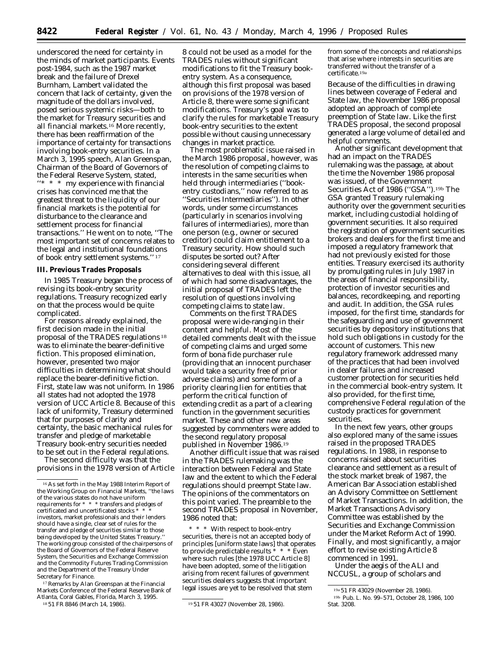underscored the need for certainty in the minds of market participants. Events post-1984, such as the 1987 market break and the failure of Drexel Burnham, Lambert validated the concern that lack of certainty, given the magnitude of the dollars involved, posed serious systemic risks—both to the market for Treasury securities and all financial markets.<sup>16</sup> More recently, there has been reaffirmation of the importance of certainty for transactions involving book-entry securities. In a March 3, 1995 speech, Alan Greenspan, Chairman of the Board of Governors of the Federal Reserve System, stated, ''\* \* \* my experience with financial crises has convinced me that the greatest threat to the liquidity of our financial markets is the potential for disturbance to the clearance and settlement process for financial transactions.'' He went on to note, ''The most important set of concerns relates to the legal and institutional foundations of book entry settlement systems.'' 17

## **III. Previous Trades Proposals**

In 1985 Treasury began the process of revising its book-entry security regulations. Treasury recognized early on that the process would be quite complicated.

For reasons already explained, the first decision made in the initial proposal of the TRADES regulations 18 was to eliminate the bearer-definitive fiction. This proposed elimination, however, presented two major difficulties in determining what should replace the bearer-definitive fiction. First, state law was not uniform. In 1986 all states had not adopted the 1978 version of UCC Article 8. Because of this lack of uniformity, Treasury determined that for purposes of clarity and certainty, the basic mechanical rules for transfer and pledge of marketable Treasury book-entry securities needed to be set out in the Federal regulations.

The second difficulty was that the provisions in the 1978 version of Article

17Remarks by Alan Greenspan at the Financial Markets Conference of the Federal Reserve Bank of Atlanta, Coral Gables, Florida, March 3, 1995.

8 could not be used as a model for the TRADES rules without significant modifications to fit the Treasury bookentry system. As a consequence, although this first proposal was based on provisions of the 1978 version of Article 8, there were some significant modifications. Treasury's goal was to clarify the rules for marketable Treasury book-entry securities to the extent possible without causing unnecessary changes in market practice.

The most problematic issue raised in the March 1986 proposal, however, was the resolution of competing claims to interests in the same securities when held through intermediaries (''bookentry custodians,'' now referred to as ''Securities Intermediaries''). In other words, under some circumstances (particularly in scenarios involving failures of intermediaries), more than one person (e.g., owner or secured creditor) could claim entitlement to a Treasury security. How should such disputes be sorted out? After considering several different alternatives to deal with this issue, all of which had some disadvantages, the initial proposal of TRADES left the resolution of questions involving competing claims to state law.

Comments on the first TRADES proposal were wide-ranging in their content and helpful. Most of the detailed comments dealt with the issue of competing claims and urged some form of bona fide purchaser rule (providing that an innocent purchaser would take a security free of prior adverse claims) and some form of a priority clearing lien for entities that perform the critical function of extending credit as a part of a clearing function in the government securities market. These and other new areas suggested by commenters were added to the second regulatory proposal published in November 1986.19

Another difficult issue that was raised in the TRADES rulemaking was the interaction between Federal and State law and the extent to which the Federal regulations should preempt State law. The opinions of the commentators on this point varied. The preamble to the second TRADES proposal in November, 1986 noted that:

\* \* \* With respect to book-entry securities, there is not an accepted body of principles [uniform state laws] that operates to provide predictable results \* \* \* Even where such rules [the 1978 UCC Article 8] have been adopted, some of the litigation arising from recent failures of government securities dealers suggests that important legal issues are yet to be resolved that stem

from some of the concepts and relationships that arise where interests in securities are transferred without the transfer of a certificate.19a

Because of the difficulties in drawing lines between coverage of Federal and State law, the November 1986 proposal adopted an approach of complete preemption of State law. Like the first TRADES proposal, the second proposal generated a large volume of detailed and helpful comments.

Another significant development that had an impact on the TRADES rulemaking was the passage, at about the time the November 1986 proposal was issued, of the Government Securities Act of 1986 ("GSA").<sup>19b</sup> The GSA granted Treasury rulemaking authority over the government securities market, including custodial holding of government securities. It also required the registration of government securities brokers and dealers for the first time and imposed a regulatory framework that had not previously existed for those entities. Treasury exercised its authority by promulgating rules in July 1987 in the areas of financial responsibility, protection of investor securities and balances, recordkeeping, and reporting and audit. In addition, the GSA rules imposed, for the first time, standards for the safeguarding and use of government securities by depository institutions that hold such obligations in custody for the account of customers. This new regulatory framework addressed many of the practices that had been involved in dealer failures and increased customer protection for securities held in the commercial book-entry system. It also provided, for the first time, comprehensive Federal regulation of the custody practices for government securities.

In the next few years, other groups also explored many of the same issues raised in the proposed TRADES regulations. In 1988, in response to concerns raised about securities clearance and settlement as a result of the stock market break of 1987, the American Bar Association established an Advisory Committee on Settlement of Market Transactions. In addition, the Market Transactions Advisory Committee was established by the Securities and Exchange Commission under the Market Reform Act of 1990. Finally, and most significantly, a major effort to revise existing Article 8 commenced in 1991.

Under the aegis of the ALI and NCCUSL, a group of scholars and

<sup>16</sup>As set forth in the May 1988 Interim Report of the Working Group on Financial Markets, ''the laws of the various states do not have uniform requirements for \* \* \* transfers and pledges of certificated and uncertificated stocks investors, market professionals and their lenders should have a single, clear set of rules for the transfer and pledge of securities similar to those being developed by the United States Treasury. The working group consisted of the chairpersons of the Board of Governors of the Federal Reserve System, the Securities and Exchange Commission and the Commodity Futures Trading Commission and the Department of the Treasury Under Secretary for Finance.

<sup>&</sup>lt;sup>19</sup> 51 FR 43027 (November 28, 1986).

<sup>19</sup>a 51 FR 43029 (November 28, 1986). 19b Pub. L. No. 99–571, October 28, 1986, 100 Stat. 3208.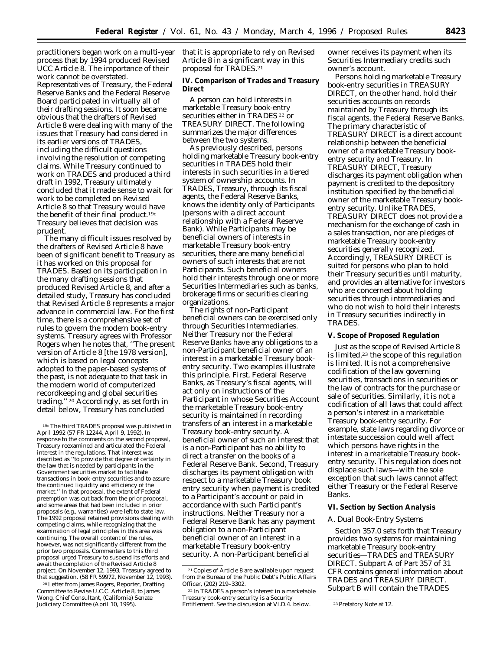practitioners began work on a multi-year process that by 1994 produced Revised UCC Article 8. The importance of their work cannot be overstated. Representatives of Treasury, the Federal Reserve Banks and the Federal Reserve Board participated in virtually all of their drafting sessions. It soon became obvious that the drafters of Revised Article 8 were dealing with many of the issues that Treasury had considered in its earlier versions of TRADES, including the difficult questions involving the resolution of competing claims. While Treasury continued to work on TRADES and produced a third draft in 1992, Treasury ultimately concluded that it made sense to wait for work to be completed on Revised Article 8 so that Treasury would have the benefit of their final product.19c Treasury believes that decision was prudent.

The many difficult issues resolved by the drafters of Revised Article 8 have been of significant benefit to Treasury as it has worked on this proposal for TRADES. Based on its participation in the many drafting sessions that produced Revised Article 8, and after a detailed study, Treasury has concluded that Revised Article 8 represents a major advance in commercial law. For the first time, there is a comprehensive set of rules to govern the modern book-entry systems. Treasury agrees with Professor Rogers when he notes that, ''The present version of Article 8 [the 1978 version], which is based on legal concepts adopted to the paper-based systems of the past, is not adequate to that task in the modern world of computerized recordkeeping and global securities trading.'' 20 Accordingly, as set forth in detail below, Treasury has concluded

20Letter from James Rogers, Reporter, Drafting Committee to Revise U.C.C. Article 8, to James Wong, Chief Consultant, (California) Senate Judiciary Committee (April 10, 1995).

that it is appropriate to rely on Revised Article 8 in a significant way in this proposal for TRADES.21

**IV. Comparison of Trades and Treasury Direct**

A person can hold interests in marketable Treasury book-entry securities either in TRADES 22 or TREASURY DIRECT. The following summarizes the major differences between the two systems.

As previously described, persons holding marketable Treasury book-entry securities in TRADES hold their interests in such securities in a tiered system of ownership accounts. In TRADES, Treasury, through its fiscal agents, the Federal Reserve Banks, knows the identity only of Participants (persons with a direct account relationship with a Federal Reserve Bank). While Participants may be beneficial owners of interests in marketable Treasury book-entry securities, there are many beneficial owners of such interests that are not Participants. Such beneficial owners hold their interests through one or more Securities Intermediaries such as banks, brokerage firms or securities clearing organizations.

The rights of non-Participant beneficial owners can be exercised only through Securities Intermediaries. Neither Treasury nor the Federal Reserve Banks have any obligations to a non-Participant beneficial owner of an interest in a marketable Treasury bookentry security. Two examples illustrate this principle. First, Federal Reserve Banks, as Treasury's fiscal agents, will act only on instructions of the Participant in whose Securities Account the marketable Treasury book-entry security is maintained in recording transfers of an interest in a marketable Treasury book-entry security. A beneficial owner of such an interest that is a non-Participant has no ability to direct a transfer on the books of a Federal Reserve Bank. Second, Treasury discharges its payment obligation with respect to a marketable Treasury book entry security when payment is credited to a Participant's account or paid in accordance with such Participant's instructions. Neither Treasury nor a Federal Reserve Bank has any payment obligation to a non-Participant beneficial owner of an interest in a marketable Treasury book-entry security. A non-Participant beneficial

owner receives its payment when its Securities Intermediary credits such owner's account.

Persons holding marketable Treasury book-entry securities in TREASURY DIRECT, on the other hand, hold their securities accounts on records maintained by Treasury through its fiscal agents, the Federal Reserve Banks. The primary characteristic of TREASURY DIRECT is a direct account relationship between the beneficial owner of a marketable Treasury bookentry security and Treasury. In TREASURY DIRECT, Treasury discharges its payment obligation when payment is credited to the depository institution specified by the beneficial owner of the marketable Treasury bookentry security. Unlike TRADES, TREASURY DIRECT does not provide a mechanism for the exchange of cash in a sales transaction, nor are pledges of marketable Treasury book-entry securities generally recognized. Accordingly, TREASURY DIRECT is suited for persons who plan to hold their Treasury securities until maturity, and provides an alternative for investors who are concerned about holding securities through intermediaries and who do not wish to hold their interests in Treasury securities indirectly in **TRADES** 

### **V. Scope of Proposed Regulation**

Just as the scope of Revised Article 8 is limited,23 the scope of this regulation is limited. It is not a comprehensive codification of the law governing securities, transactions in securities or the law of contracts for the purchase or sale of securities. Similarly, it is not a codification of all laws that could affect a person's interest in a marketable Treasury book-entry security. For example, state laws regarding divorce or intestate succession could well affect which persons have rights in the interest in a marketable Treasury bookentry security. This regulation does not displace such laws—with the sole exception that such laws cannot affect either Treasury or the Federal Reserve Banks.

#### **VI. Section by Section Analysis**

### *A. Dual Book-Entry Systems*

Section 357.0 sets forth that Treasury provides two systems for maintaining marketable Treasury book-entry securities—TRADES and TREASURY DIRECT. Subpart A of Part 357 of 31 CFR contains general information about TRADES and TREASURY DIRECT. Subpart B will contain the TRADES

<sup>19</sup>cThe third TRADES proposal was published in April 1992 (57 FR 12244, April 9, 1992). In response to the comments on the second proposal, Treasury reexamined and articulated the Federal interest in the regulations. That interest was described as ''to provide that degree of certainty in the law that is needed by participants in the Government securities market to facilitate transactions in book-entry securities and to assure the continued liquidity and efficiency of the market.'' In that proposal, the extent of Federal preemption was cut back from the prior proposal, and some areas that had been included in prior proposals (e.g., warranties) were left to state law. The 1992 proposal retained provisions dealing with competing claims, while recognizing that the examination of legal principles in this area was continuing. The overall content of the rules, however, was not significantly different from the prior two proposals. Commenters to this third proposal urged Treasury to suspend its efforts and await the completion of the Revised Article 8 project. On November 12, 1993, Treasury agreed to that suggestion. (58 FR 59972, November 12, 1993).

<sup>21</sup>Copies of Article 8 are available upon request from the Bureau of the Public Debt's Public Affairs Officer, (202) 219–3302.

<sup>22</sup> In TRADES a person's interest in a marketable Treasury book-entry security is a Security Entitlement. See the discussion at VI.D.4. below. <sup>23</sup> Prefatory Note at 12.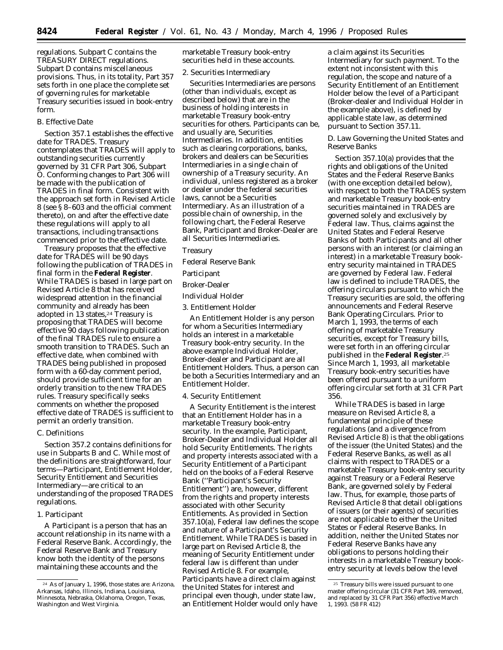regulations. Subpart C contains the TREASURY DIRECT regulations. Subpart D contains miscellaneous provisions. Thus, in its totality, Part 357 sets forth in one place the complete set of governing rules for marketable Treasury securities issued in book-entry form.

## *B. Effective Date*

Section 357.1 establishes the effective date for TRADES. Treasury contemplates that TRADES will apply to outstanding securities currently governed by 31 CFR Part 306, Subpart O. Conforming changes to Part 306 will be made with the publication of TRADES in final form. Consistent with the approach set forth in Revised Article 8 (see § 8–603 and the official comment thereto), on and after the effective date these regulations will apply to all transactions, including transactions commenced prior to the effective date.

Treasury proposes that the effective date for TRADES will be 90 days following the publication of TRADES in final form in the **Federal Register**. While TRADES is based in large part on Revised Article 8 that has received widespread attention in the financial community and already has been adopted in 13 states,<sup>24</sup> Treasury is proposing that TRADES will become effective 90 days following publication of the final TRADES rule to ensure a smooth transition to TRADES. Such an effective date, when combined with TRADES being published in proposed form with a 60-day comment period, should provide sufficient time for an orderly transition to the new TRADES rules. Treasury specifically seeks comments on whether the proposed effective date of TRADES is sufficient to permit an orderly transition.

## *C. Definitions*

Section 357.2 contains definitions for use in Subparts B and C. While most of the definitions are straightforward, four terms—Participant, Entitlement Holder, Security Entitlement and Securities Intermediary—are critical to an understanding of the proposed TRADES regulations.

### 1. Participant

A Participant is a person that has an account relationship in its name with a Federal Reserve Bank. Accordingly, the Federal Reserve Bank and Treasury know both the identity of the persons maintaining these accounts and the

marketable Treasury book-entry securities held in these accounts.

## 2. Securities Intermediary

Securities Intermediaries are persons (other than individuals, except as described below) that are in the business of holding interests in marketable Treasury book-entry securities for others. Participants can be, and usually are, Securities Intermediaries. In addition, entities such as clearing corporations, banks, brokers and dealers can be Securities Intermediaries in a single chain of ownership of a Treasury security. An individual, unless registered as a broker or dealer under the federal securities laws, cannot be a Securities Intermediary. As an illustration of a possible chain of ownership, in the following chart, the Federal Reserve Bank, Participant and Broker-Dealer are all Securities Intermediaries.

# Treasury

Federal Reserve Bank

Participant

## Broker-Dealer

Individual Holder

3. Entitlement Holder

An Entitlement Holder is any person for whom a Securities Intermediary holds an interest in a marketable Treasury book-entry security. In the above example Individual Holder, Broker-dealer and Participant are all Entitlement Holders. Thus, a person can be both a Securities Intermediary and an Entitlement Holder.

#### 4. Security Entitlement

A Security Entitlement is the interest that an Entitlement Holder has in a marketable Treasury book-entry security. In the example, Participant, Broker-Dealer and Individual Holder all hold Security Entitlements. The rights and property interests associated with a Security Entitlement of a Participant held on the books of a Federal Reserve Bank (''Participant's Security Entitlement'') are, however, different from the rights and property interests associated with other Security Entitlements. As provided in Section 357.10(a), Federal law defines the scope and nature of a Participant's Security Entitlement. While TRADES is based in large part on Revised Article 8, the meaning of Security Entitlement under federal law is different than under Revised Article 8. For example, Participants have a direct claim against the United States for interest and principal even though, under state law, an Entitlement Holder would only have

a claim against its Securities Intermediary for such payment. To the extent not inconsistent with this regulation, the scope and nature of a Security Entitlement of an Entitlement Holder below the level of a Participant (Broker-dealer and Individual Holder in the example above), is defined by applicable state law, as determined pursuant to Section 357.11.

# *D. Law Governing the United States and Reserve Banks*

Section 357.10(a) provides that the rights and obligations of the United States and the Federal Reserve Banks (with one exception detailed below), with respect to both the TRADES system and marketable Treasury book-entry securities maintained in TRADES are governed solely and exclusively by Federal law. Thus, claims against the United States and Federal Reserve Banks of both Participants and all other persons with an interest (or claiming an interest) in a marketable Treasury bookentry security maintained in TRADES are governed by Federal law. Federal law is defined to include TRADES, the offering circulars pursuant to which the Treasury securities are sold, the offering announcements and Federal Reserve Bank Operating Circulars. Prior to March 1, 1993, the terms of each offering of marketable Treasury securities, except for Treasury bills, were set forth in an offering circular published in the **Federal Register**.25 Since March 1, 1993, all marketable Treasury book-entry securities have been offered pursuant to a uniform offering circular set forth at 31 CFR Part 356.

While TRADES is based in large measure on Revised Article 8, a fundamental principle of these regulations (and a divergence from Revised Article 8) is that the obligations of the issuer (the United States) and the Federal Reserve Banks, as well as all claims with respect to TRADES or a marketable Treasury book-entry security against Treasury or a Federal Reserve Bank, are governed solely by Federal law. Thus, for example, those parts of Revised Article 8 that detail obligations of issuers (or their agents) of securities are not applicable to either the United States or Federal Reserve Banks. In addition, neither the United States nor Federal Reserve Banks have any obligations to persons holding their interests in a marketable Treasury bookentry security at levels below the level

<sup>24</sup> As of January 1, 1996, those states are: Arizona, Arkansas, Idaho, Illinois, Indiana, Louisiana, Minnesota, Nebraska, Oklahoma, Oregon, Texas, Washington and West Virginia.

<sup>&</sup>lt;sup>25</sup> Treasury bills were issued pursuant to one master offering circular (31 CFR Part 349, removed, and replaced by 31 CFR Part 356) effective March 1, 1993. (58 FR 412)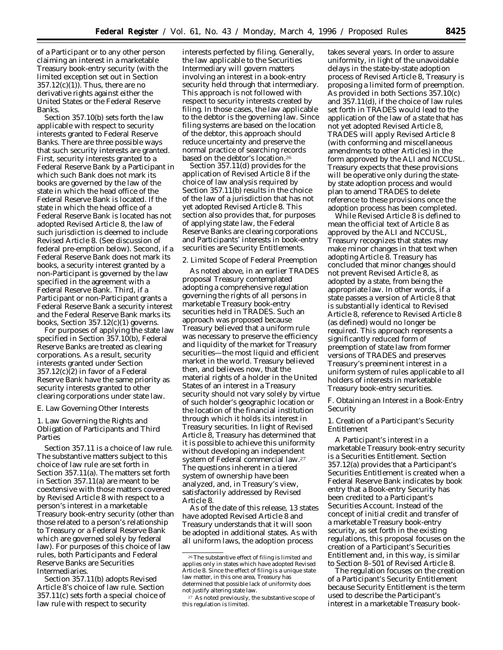of a Participant or to any other person claiming an interest in a marketable Treasury book-entry security (with the limited exception set out in Section  $357.12(c)(1)$ . Thus, there are no derivative rights against either the United States or the Federal Reserve Banks.

Section 357.10(b) sets forth the law applicable with respect to security interests granted to Federal Reserve Banks. There are three possible ways that such security interests are granted. First, security interests granted to a Federal Reserve Bank by a Participant in which such Bank does not mark its books are governed by the law of the state in which the head office of the Federal Reserve Bank is located. If the state in which the head office of a Federal Reserve Bank is located has not adopted Revised Article 8, the law of such jurisdiction is deemed to include Revised Article 8. (See discussion of federal pre-emption below). Second, if a Federal Reserve Bank does not mark its books, a security interest granted by a non-Participant is governed by the law specified in the agreement with a Federal Reserve Bank. Third, if a Participant or non-Participant grants a Federal Reserve Bank a security interest and the Federal Reserve Bank marks its books, Section 357.12(c)(1) governs.

For purposes of applying the state law specified in Section 357.10(b), Federal Reserve Banks are treated as clearing corporations. As a result, security interests granted under Section 357.12(c)(2) in favor of a Federal Reserve Bank have the same priority as security interests granted to other clearing corporations under state law.

#### *E. Law Governing Other Interests*

1. Law Governing the Rights and Obligation of Participants and Third Parties

Section 357.11 is a choice of law rule. The substantive matters subject to this choice of law rule are set forth in Section 357.11(a). The matters set forth in Section 357.11(a) are meant to be coextensive with those matters covered by Revised Article 8 with respect to a person's interest in a marketable Treasury book-entry security (other than those related to a person's relationship to Treasury or a Federal Reserve Bank which are governed solely by federal law). For purposes of this choice of law rules, both Participants and Federal Reserve Banks are Securities Intermediaries.

Section 357.11(b) adopts Revised Article 8's choice of law rule. Section 357.11(c) sets forth a special choice of law rule with respect to security

interests perfected by filing. Generally, the law applicable to the Securities Intermediary will govern matters involving an interest in a book-entry security held through that intermediary. This approach is not followed with respect to security interests created by filing. In those cases, the law applicable to the debtor is the governing law. Since filing systems are based on the location of the debtor, this approach should reduce uncertainty and preserve the normal practice of searching records based on the debtor's location.26

Section 357.11(d) provides for the application of Revised Article 8 if the choice of law analysis required by Section 357.11(b) results in the choice of the law of a jurisdiction that has not yet adopted Revised Article 8. This section also provides that, for purposes of applying state law, the Federal Reserve Banks are clearing corporations and Participants' interests in book-entry securities are Security Entitlements.

# 2. Limited Scope of Federal Preemption

As noted above, in an earlier TRADES proposal Treasury contemplated adopting a comprehensive regulation governing the rights of all persons in marketable Treasury book-entry securities held in TRADES. Such an approach was proposed because Treasury believed that a uniform rule was necessary to preserve the efficiency and liquidity of the market for Treasury securities—the most liquid and efficient market in the world. Treasury believed then, and believes now, that the material rights of a holder in the United States of an interest in a Treasury security should not vary solely by virtue of such holder's geographic location or the location of the financial institution through which it holds its interest in Treasury securities. In light of Revised Article 8, Treasury has determined that it is possible to achieve this uniformity without developing an independent system of Federal commercial law.27 The questions inherent in a tiered system of ownership have been analyzed, and, in Treasury's view, satisfactorily addressed by Revised Article 8.

As of the date of this release, 13 states have adopted Revised Article 8 and Treasury understands that it will soon be adopted in additional states. As with all uniform laws, the adoption process

takes several years. In order to assure uniformity, in light of the unavoidable delays in the state-by-state adoption process of Revised Article 8, Treasury is proposing a limited form of preemption. As provided in both Sections 357.10(c) and 357.11(d), if the choice of law rules set forth in TRADES would lead to the application of the law of a state that has not yet adopted Revised Article 8, TRADES will apply Revised Article 8 (with conforming and miscellaneous amendments to other Articles) in the form approved by the ALI and NCCUSL. Treasury expects that these provisions will be operative only during the stateby state adoption process and would plan to amend TRADES to delete reference to these provisions once the adoption process has been completed.

While Revised Article 8 is defined to mean the official text of Article 8 as approved by the ALI and NCCUSL, Treasury recognizes that states may make minor changes in that text when adopting Article 8. Treasury has concluded that minor changes should not prevent Revised Article 8, as adopted by a state, from being the appropriate law. In other words, if a state passes a version of Article 8 that is substantially identical to Revised Article 8, reference to Revised Article 8 (as defined) would no longer be required. This approach represents a significantly reduced form of preemption of state law from former versions of TRADES and preserves Treasury's preeminent interest in a uniform system of rules applicable to all holders of interests in marketable Treasury book-entry securities.

## *F. Obtaining an Interest in a Book-Entry Security*

1. Creation of a Participant's Security Entitlement

A Participant's interest in a marketable Treasury book-entry security is a Securities Entitlement. Section 357.12(a) provides that a Participant's Securities Entitlement is created when a Federal Reserve Bank indicates by book entry that a Book-entry Security has been credited to a Participant's Securities Account. Instead of the concept of initial credit and transfer of a marketable Treasury book-entry security, as set forth in the existing regulations, this proposal focuses on the creation of a Participant's Securities Entitlement and, in this way, is similar to Section 8–501 of Revised Article 8.

The regulation focuses on the creation of a Participant's Security Entitlement because Security Entitlement is the term used to describe the Participant's interest in a marketable Treasury book-

<sup>26</sup>The substantive effect of filing is limited and applies only in states which have adopted Revised Article 8. Since the effect of filing is a unique state law matter, in this one area, Treasury has determined that possible lack of uniformity does not justify altering state law.

<sup>27</sup> As noted previously, the substantive scope of this regulation is limited.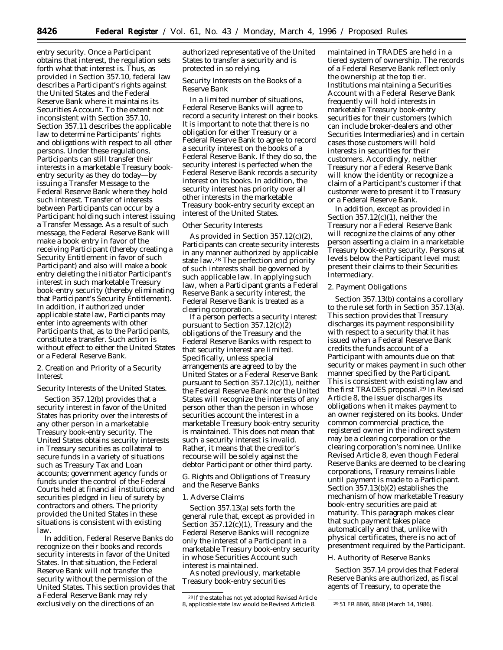entry security. Once a Participant obtains that interest, the regulation sets forth what that interest is. Thus, as provided in Section 357.10, federal law describes a Participant's rights against the United States and the Federal Reserve Bank where it maintains its Securities Account. To the extent not inconsistent with Section 357.10, Section 357.11 describes the applicable law to determine Participants' rights and obligations with respect to all other persons. Under these regulations, Participants can still transfer their interests in a marketable Treasury bookentry security as they do today—by issuing a Transfer Message to the Federal Reserve Bank where they hold such interest. Transfer of interests between Participants can occur by a Participant holding such interest issuing a Transfer Message. As a result of such message, the Federal Reserve Bank will make a book entry in favor of the receiving Participant (thereby creating a Security Entitlement in favor of such Participant) and also will make a book entry deleting the initiator Participant's interest in such marketable Treasury book-entry security (thereby eliminating that Participant's Security Entitlement). In addition, if authorized under applicable state law, Participants may enter into agreements with other Participants that, as to the Participants, constitute a transfer. Such action is without effect to either the United States or a Federal Reserve Bank.

2. Creation and Priority of a Security Interest

### *Security Interests of the United States.*

Section 357.12(b) provides that a security interest in favor of the United States has priority over the interests of any other person in a marketable Treasury book-entry security. The United States obtains security interests in Treasury securities as collateral to secure funds in a variety of situations such as Treasury Tax and Loan accounts; government agency funds or funds under the control of the Federal Courts held at financial institutions; and securities pledged in lieu of surety by contractors and others. The priority provided the United States in these situations is consistent with existing law.

In addition, Federal Reserve Banks do recognize on their books and records security interests in favor of the United States. In that situation, the Federal Reserve Bank will not transfer the security without the permission of the United States. This section provides that a Federal Reserve Bank may rely exclusively on the directions of an

authorized representative of the United States to transfer a security and is protected in so relying.

# *Security Interests on the Books of a Reserve Bank*

In a limited number of situations, Federal Reserve Banks will agree to record a security interest on their books. It is important to note that there is no obligation for either Treasury or a Federal Reserve Bank to agree to record a security interest on the books of a Federal Reserve Bank. If they do so, the security interest is perfected when the Federal Reserve Bank records a security interest on its books. In addition, the security interest has priority over all other interests in the marketable Treasury book-entry security except an interest of the United States.

#### *Other Security Interests*

As provided in Section 357.12(c)(2), Participants can create security interests in any manner authorized by applicable state law.28 The perfection and priority of such interests shall be governed by such applicable law. In applying such law, when a Participant grants a Federal Reserve Bank a security interest, the Federal Reserve Bank is treated as a clearing corporation.

If a person perfects a security interest pursuant to Section 357.12(c)(2) obligations of the Treasury and the Federal Reserve Banks with respect to that security interest are limited. Specifically, unless special arrangements are agreed to by the United States or a Federal Reserve Bank pursuant to Section 357.12(c)(1), neither the Federal Reserve Bank nor the United States will recognize the interests of any person other than the person in whose securities account the interest in a marketable Treasury book-entry security is maintained. This does not mean that such a security interest is invalid. Rather, it means that the creditor's recourse will be solely against the debtor Participant or other third party.

## *G. Rights and Obligations of Treasury and the Reserve Banks*

#### 1. Adverse Claims

Section 357.13(a) sets forth the general rule that, except as provided in Section 357.12(c)(1), Treasury and the Federal Reserve Banks will recognize only the interest of a Participant in a marketable Treasury book-entry security in whose Securities Account such interest is maintained.

As noted previously, marketable Treasury book-entry securities

maintained in TRADES are held in a tiered system of ownership. The records of a Federal Reserve Bank reflect only the ownership at the top tier. Institutions maintaining a Securities Account with a Federal Reserve Bank frequently will hold interests in marketable Treasury book-entry securities for their customers (which can include broker-dealers and other Securities Intermediaries) and in certain cases those customers will hold interests in securities for their customers. Accordingly, neither Treasury nor a Federal Reserve Bank will know the identity or recognize a claim of a Participant's customer if that customer were to present it to Treasury or a Federal Reserve Bank.

In addition, except as provided in Section 357.12(c)(1), neither the Treasury nor a Federal Reserve Bank will recognize the claims of any other person asserting a claim in a marketable Treasury book-entry security. Persons at levels below the Participant level must present their claims to their Securities Intermediary.

### 2. Payment Obligations

Section 357.13(b) contains a corollary to the rule set forth in Section 357.13(a). This section provides that Treasury discharges its payment responsibility with respect to a security that it has issued when a Federal Reserve Bank credits the funds account of a Participant with amounts due on that security or makes payment in such other manner specified by the Participant. This is consistent with existing law and the first TRADES proposal.29 In Revised Article 8, the issuer discharges its obligations when it makes payment to an owner registered on its books. Under common commercial practice, the registered owner in the indirect system may be a clearing corporation or the clearing corporation's nominee. Unlike Revised Article 8, even though Federal Reserve Banks are deemed to be clearing corporations, Treasury remains liable until payment is made to a Participant. Section 357.13(b)(2) establishes the mechanism of how marketable Treasury book-entry securities are paid at maturity. This paragraph makes clear that such payment takes place automatically and that, unlike with physical certificates, there is no act of presentment required by the Participant.

## *H. Authority of Reserve Banks*

Section 357.14 provides that Federal Reserve Banks are authorized, as fiscal agents of Treasury, to operate the

<sup>28</sup> If the state has not yet adopted Revised Article 8, applicable state law would be Revised Article 8. 2951 FR 8846, 8848 (March 14, 1986).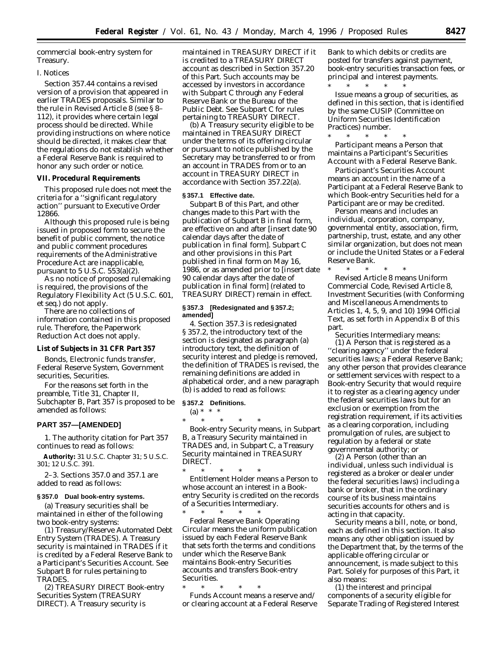commercial book-entry system for Treasury.

## *I. Notices*

Section 357.44 contains a revised version of a provision that appeared in earlier TRADES proposals. Similar to the rule in Revised Article 8 (see § 8– 112), it provides where certain legal process should be directed. While providing instructions on where notice should be directed, it makes clear that the regulations do not establish whether a Federal Reserve Bank is required to honor any such order or notice.

## **VII. Procedural Requirements**

This proposed rule does not meet the criteria for a ''significant regulatory action'' pursuant to Executive Order 12866.

Although this proposed rule is being issued in proposed form to secure the benefit of public comment, the notice and public comment procedures requirements of the Administrative Procedure Act are inapplicable, pursuant to  $5$  U.S.C.  $553(a)(2)$ .

As no notice of proposed rulemaking is required, the provisions of the Regulatory Flexibility Act (5 U.S.C. 601, *et seq.*) do not apply.

There are no collections of information contained in this proposed rule. Therefore, the Paperwork Reduction Act does not apply.

# **List of Subjects in 31 CFR Part 357**

Bonds, Electronic funds transfer, Federal Reserve System, Government securities, Securities.

For the reasons set forth in the preamble, Title 31, Chapter II, Subchapter B, Part 357 is proposed to be amended as follows:

### **PART 357—[AMENDED]**

1. The authority citation for Part 357 continues to read as follows:

**Authority:** 31 U.S.C. Chapter 31; 5 U.S.C. 301; 12 U.S.C. 391.

2–3. Sections 357.0 and 357.1 are added to read as follows:

## **§ 357.0 Dual book-entry systems.**

(a) Treasury securities shall be maintained in either of the following two book-entry systems:

(1) *Treasury/Reserve Automated Debt Entry System (TRADES).* A Treasury security is maintained in TRADES if it is credited by a Federal Reserve Bank to a Participant's Securities Account. See Subpart B for rules pertaining to TRADES.

(2) *TREASURY DIRECT Book-entry Securities System (TREASURY DIRECT).* A Treasury security is

maintained in TREASURY DIRECT if it is credited to a TREASURY DIRECT account as described in Section 357.20 of this Part. Such accounts may be accessed by investors in accordance with Subpart C through any Federal Reserve Bank or the Bureau of the Public Debt. *See* Subpart C for rules pertaining to TREASURY DIRECT.

(b) A Treasury security eligible to be maintained in TREASURY DIRECT under the terms of its offering circular or pursuant to notice published by the Secretary may be transferred to or from an account in TRADES from or to an account in TREASURY DIRECT in accordance with Section 357.22(a).

## **§ 357.1 Effective date.**

Subpart B of this Part, and other changes made to this Part with the publication of Subpart B in final form, are effective on and after [insert date 90 calendar days after the date of publication in final form]. Subpart C and other provisions in this Part published in final form on May 16, 1986, or as amended prior to [insert date 90 calendar days after the date of publication in final form] (related to TREASURY DIRECT) remain in effect.

### **§ 357.3 [Redesignated and § 357.2; amended]**

4. Section 357.3 is redesignated § 357.2, the introductory text of the section is designated as paragraph (a) introductory text, the definition of *security interest and pledge* is removed, the definition of *TRADES* is revised, the remaining definitions are added in alphabetical order, and a new paragraph (b) is added to read as follows:

#### **§ 357.2 Definitions.**

 $(a) * * * *$ 

\* \* \* \* \* *Book-entry Security* means, in Subpart B, a Treasury Security maintained in TRADES and, in Subpart C, a Treasury Security maintained in TREASURY DIRECT.

\* \* \* \* \* *Entitlement Holder* means a Person to whose account an interest in a Bookentry Security is credited on the records of a Securities Intermediary.

\* \* \* \* \* *Federal Reserve Bank Operating Circular* means the uniform publication issued by each Federal Reserve Bank that sets forth the terms and conditions under which the Reserve Bank maintains Book-entry Securities accounts and transfers Book-entry Securities.

\* \* \* \* \*

*Funds Account* means a reserve and/ or clearing account at a Federal Reserve Bank to which debits or credits are posted for transfers against payment, book-entry securities transaction fees, or principal and interest payments.

\* \* \* \* \* *Issue* means a group of securities, as defined in this section, that is identified by the same CUSIP (*C*ommittee on *U*niform *S*ecurities *I*dentification *P*ractices) number.

\* \* \* \* \* *Participant* means a Person that maintains a Participant's Securities Account with a Federal Reserve Bank.

*Participant's Securities Account* means an account in the name of a Participant at a Federal Reserve Bank to which Book-entry Securities held for a Participant are or may be credited.

*Person* means and includes an individual, corporation, company, governmental entity, association, firm, partnership, trust, estate, and any other similar organization, but does not mean or include the United States or a Federal Reserve Bank.

\* \* \* \* \* *Revised Article 8* means Uniform Commercial Code, Revised Article 8, Investment Securities (with Conforming and Miscellaneous Amendments to Articles 1, 4, 5, 9, and 10) 1994 Official Text, as set forth in Appendix B of this part.

*Securities Intermediary* means:

(1) A Person that is registered as a ''clearing agency'' under the federal securities laws; a Federal Reserve Bank; any other person that provides clearance or settlement services with respect to a Book-entry Security that would require it to register as a clearing agency under the federal securities laws but for an exclusion or exemption from the registration requirement, if its activities as a clearing corporation, including promulgation of rules, are subject to regulation by a federal or state governmental authority; or

(2) A Person (other than an individual, unless such individual is registered as a broker or dealer under the federal securities laws) including a bank or broker, that in the ordinary course of its business maintains securities accounts for others and is acting in that capacity.

*Security* means a bill, note, or bond, each as defined in this section. It also means any other obligation issued by the Department that, by the terms of the applicable offering circular or announcement, is made subject to this Part. Solely for purposes of this Part, it also means:

(1) the interest and principal components of a security eligible for Separate Trading of Registered Interest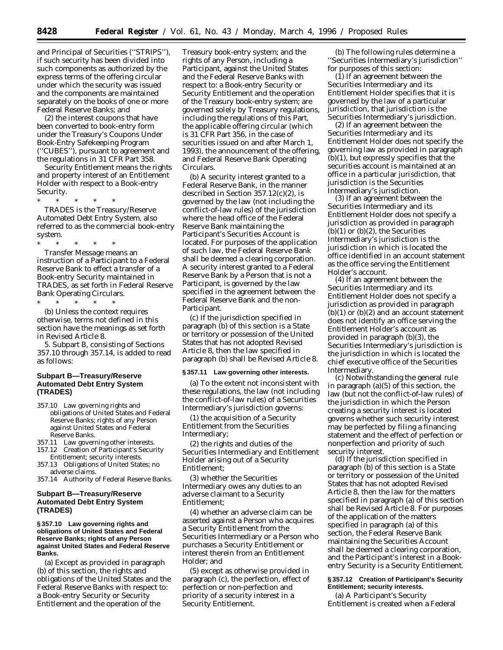and Principal of Securities (''STRIPS''), if such security has been divided into such components as authorized by the express terms of the offering circular under which the security was issued and the components are maintained separately on the books of one or more Federal Reserve Banks; and

(2) the interest coupons that have been converted to book-entry form under the Treasury's Coupons Under Book-Entry Safekeeping Program (''CUBES''), pursuant to agreement and the regulations in 31 CFR Part 358.

*Security Entitlement* means the rights and property interest of an Entitlement Holder with respect to a Book-entry Security.

\* \* \* \* \*

*TRADES* is the Treasury/Reserve Automated Debt Entry System, also referred to as the commercial book-entry system.

\* \* \* \* \* *Transfer Message* means an instruction of a Participant to a Federal Reserve Bank to effect a transfer of a Book-entry Security maintained in TRADES, as set forth in Federal Reserve Bank Operating Circulars.

\* \* \* \* \* (b) Unless the context requires otherwise, terms not defined in this section have the meanings as set forth in Revised Article 8.

5. Subpart B, consisting of Sections 357.10 through 357.14, is added to read as follows:

## **Subpart B—Treasury/Reserve Automated Debt Entry System (TRADES)**

- 357.10 Law governing rights and obligations of United States and Federal Reserve Banks; rights of any Person against United States and Federal Reserve Banks.
- 357.11 Law governing other interests.
- 157.12 Creation of Participant's Security Entitlement; security interests.
- 357.13 Obligations of United States; no adverse claims.
- 357.14 Authority of Federal Reserve Banks.

# **Subpart B—Treasury/Reserve Automated Debt Entry System (TRADES)**

### **§ 357.10 Law governing rights and obligations of United States and Federal Reserve Banks; rights of any Person against United States and Federal Reserve Banks.**

(a) Except as provided in paragraph (b) of this section, the rights and obligations of the United States and the Federal Reserve Banks with respect to: a Book-entry Security or Security Entitlement and the operation of the

Treasury book-entry system; and the rights of any Person, including a Participant, against the United States and the Federal Reserve Banks with respect to: a Book-entry Security or Security Entitlement and the operation of the Treasury book-entry system; are governed solely by Treasury regulations, including the regulations of this Part, the applicable offering circular (which is 31 CFR Part 356, in the case of securities issued on and after March 1, 1993), the announcement of the offering, and Federal Reserve Bank Operating Circulars.

(b) A security interest granted to a Federal Reserve Bank, in the manner described in Section 357.12(c)(2), is governed by the law (not including the conflict-of-law rules) of the jurisdiction where the head office of the Federal Reserve Bank maintaining the Participant's Securities Account is located. For purposes of the application of such law, the Federal Reserve Bank shall be deemed a clearing corporation. A security interest granted to a Federal Reserve Bank by a Person that is not a Participant, is governed by the law specified in the agreement between the Federal Reserve Bank and the non-Participant.

(c) If the jurisdiction specified in paragraph (b) of this section is a State or territory or possession of the United States that has not adopted Revised Article 8, then the law specified in paragraph (b) shall be Revised Article 8.

#### **§ 357.11 Law governing other interests.**

(a) To the extent not inconsistent with these regulations, the law (not including the conflict-of-law rules) of a Securities Intermediary's jurisdiction governs:

(1) the acquisition of a Security Entitlement from the Securities Intermediary;

(2) the rights and duties of the Securities Intermediary and Entitlement Holder arising out of a Security Entitlement;

(3) whether the Securities Intermediary owes any duties to an adverse claimant to a Security Entitlement;

(4) whether an adverse claim can be asserted against a Person who acquires a Security Entitlement from the Securities Intermediary or a Person who purchases a Security Entitlement or interest therein from an Entitlement Holder; and

(5) except as otherwise provided in paragraph (c), the perfection, effect of perfection or non-perfection and priority of a security interest in a Security Entitlement.

(b) The following rules determine a ''Securities Intermediary's jurisdiction'' for purposes of this section:

(1) If an agreement between the Securities Intermediary and its Entitlement Holder specifies that it is governed by the law of a particular jurisdiction, that jurisdiction is the Securities Intermediary's jurisdiction.

(2) If an agreement between the Securities Intermediary and its Entitlement Holder does not specify the governing law as provided in paragraph (b)(1), but expressly specifies that the securities account is maintained at an office in a particular jurisdiction, that jurisdiction is the Securities Intermediary's jurisdiction.

(3) If an agreement between the Securities Intermediary and its Entitlement Holder does not specify a jurisdiction as provided in paragraph  $(b)(1)$  or  $(b)(2)$ , the Securities Intermediary's jurisdiction is the jurisdiction in which is located the office identified in an account statement as the office serving the Entitlement Holder's account.

(4) If an agreement between the Securities Intermediary and its Entitlement Holder does not specify a jurisdiction as provided in paragraph  $(b)(1)$  or  $(b)(2)$  and an account statement does not identify an office serving the Entitlement Holder's account as provided in paragraph (b)(3), the Securities Intermediary's jurisdiction is the jurisdiction in which is located the chief executive office of the Securities Intermediary.

(c) Notwithstanding the general rule in paragraph (a)(5) of this section, the law (but not the conflict-of-law rules) of the jurisdiction in which the Person creating a security interest is located governs whether such security interest may be perfected by filing a financing statement and the effect of perfection or nonperfection and priority of such security interest.

(d) If the jurisdiction specified in paragraph (b) of this section is a State or territory or possession of the United States that has not adopted Revised Article 8, then the law for the matters specified in paragraph (a) of this section shall be Revised Article 8. For purposes of the application of the matters specified in paragraph (a) of this section, the Federal Reserve Bank maintaining the Securities Account shall be deemed a clearing corporation, and the Participant's interest in a Bookentry Security is a Security Entitlement.

## **§ 357.12 Creation of Participant's Security Entitlement; security interests.**

(a) A Participant's Security Entitlement is created when a Federal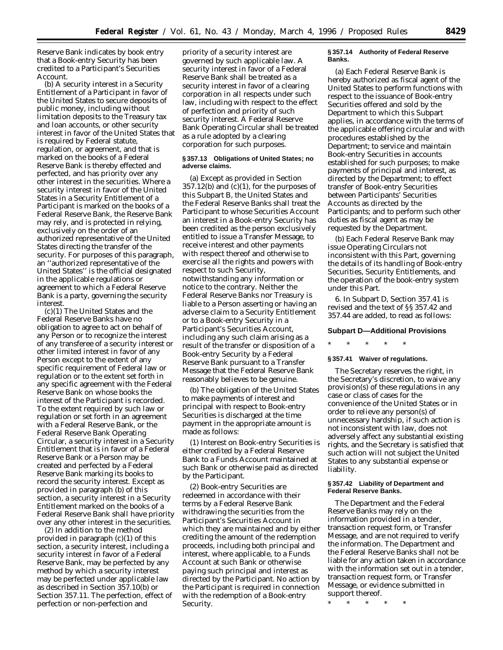Reserve Bank indicates by book entry that a Book-entry Security has been credited to a Participant's Securities Account.

(b) A security interest in a Security Entitlement of a Participant in favor of the United States to secure deposits of public money, including without limitation deposits to the Treasury tax and loan accounts, or other security interest in favor of the United States that is required by Federal statute, regulation, or agreement, and that is marked on the books of a Federal Reserve Bank is thereby effected and perfected, and has priority over any other interest in the securities. Where a security interest in favor of the United States in a Security Entitlement of a Participant is marked on the books of a Federal Reserve Bank, the Reserve Bank may rely, and is protected in relying, exclusively on the order of an authorized representative of the United States directing the transfer of the security. For purposes of this paragraph, an ''authorized representative of the United States'' is the official designated in the applicable regulations or agreement to which a Federal Reserve Bank is a party, governing the security interest.

(c)(1) The United States and the Federal Reserve Banks have no obligation to agree to act on behalf of any Person or to recognize the interest of any transferee of a security interest or other limited interest in favor of any Person except to the extent of any specific requirement of Federal law or regulation or to the extent set forth in any specific agreement with the Federal Reserve Bank on whose books the interest of the Participant is recorded. To the extent required by such law or regulation or set forth in an agreement with a Federal Reserve Bank, or the Federal Reserve Bank Operating Circular, a security interest in a Security Entitlement that is in favor of a Federal Reserve Bank or a Person may be created and perfected by a Federal Reserve Bank marking its books to record the security interest. Except as provided in paragraph (b) of this section, a security interest in a Security Entitlement marked on the books of a Federal Reserve Bank shall have priority over any other interest in the securities.

(2) In addition to the method provided in paragraph (c)(1) of this section, a security interest, including a security interest in favor of a Federal Reserve Bank, may be perfected by any method by which a security interest may be perfected under applicable law as described in Section 357.10(b) or Section 357.11. The perfection, effect of perfection or non-perfection and

priority of a security interest are governed by such applicable law. A security interest in favor of a Federal Reserve Bank shall be treated as a security interest in favor of a clearing corporation in all respects under such law, including with respect to the effect of perfection and priority of such security interest. A Federal Reserve Bank Operating Circular shall be treated as a rule adopted by a clearing corporation for such purposes.

## **§ 357.13 Obligations of United States; no adverse claims.**

(a) Except as provided in Section  $357.12(b)$  and  $(c)(1)$ , for the purposes of this Subpart B, the United States and the Federal Reserve Banks shall treat the Participant to whose Securities Account an interest in a Book-entry Security has been credited as the person exclusively entitled to issue a Transfer Message, to receive interest and other payments with respect thereof and otherwise to exercise all the rights and powers with respect to such Security, notwithstanding any information or notice to the contrary. Neither the Federal Reserve Banks nor Treasury is liable to a Person asserting or having an adverse claim to a Security Entitlement or to a Book-entry Security in a Participant's Securities Account, including any such claim arising as a result of the transfer or disposition of a Book-entry Security by a Federal Reserve Bank pursuant to a Transfer Message that the Federal Reserve Bank reasonably believes to be genuine.

(b) The obligation of the United States to make payments of interest and principal with respect to Book-entry Securities is discharged at the time payment in the appropriate amount is made as follows:

(1) Interest on Book-entry Securities is either credited by a Federal Reserve Bank to a Funds Account maintained at such Bank or otherwise paid as directed by the Participant.

(2) Book-entry Securities are redeemed in accordance with their terms by a Federal Reserve Bank withdrawing the securities from the Participant's Securities Account in which they are maintained and by either crediting the amount of the redemption proceeds, including both principal and interest, where applicable, to a Funds Account at such Bank or otherwise paying such principal and interest as directed by the Participant. No action by the Participant is required in connection with the redemption of a Book-entry Security.

#### **§ 357.14 Authority of Federal Reserve Banks.**

(a) Each Federal Reserve Bank is hereby authorized as fiscal agent of the United States to perform functions with respect to the issuance of Book-entry Securities offered and sold by the Department to which this Subpart applies, in accordance with the terms of the applicable offering circular and with procedures established by the Department; to service and maintain Book-entry Securities in accounts established for such purposes; to make payments of principal and interest, as directed by the Department; to effect transfer of Book-entry Securities between Participants' Securities Accounts as directed by the Participants; and to perform such other duties as fiscal agent as may be requested by the Department.

(b) Each Federal Reserve Bank may issue Operating Circulars not inconsistent with this Part, governing the details of its handling of Book-entry Securities, Security Entitlements, and the operation of the book-entry system under this Part.

6. In Subpart D, Section 357.41 is revised and the text of §§ 357.42 and 357.44 are added, to read as follows:

#### **Subpart D—Additional Provisions**

\* \* \* \* \*

#### **§ 357.41 Waiver of regulations.**

The Secretary reserves the right, in the Secretary's discretion, to waive any provision(s) of these regulations in any case or class of cases for the convenience of the United States or in order to relieve any person(s) of unnecessary hardship, if such action is not inconsistent with law, does not adversely affect any substantial existing rights, and the Secretary is satisfied that such action will not subject the United States to any substantial expense or liability.

### **§ 357.42 Liability of Department and Federal Reserve Banks.**

The Department and the Federal Reserve Banks may rely on the information provided in a tender, transaction request form, or Transfer Message, and are not required to verify the information. The Department and the Federal Reserve Banks shall not be liable for any action taken in accordance with the information set out in a tender, transaction request form, or Transfer Message, or evidence submitted in support thereof.

\* \* \* \* \*